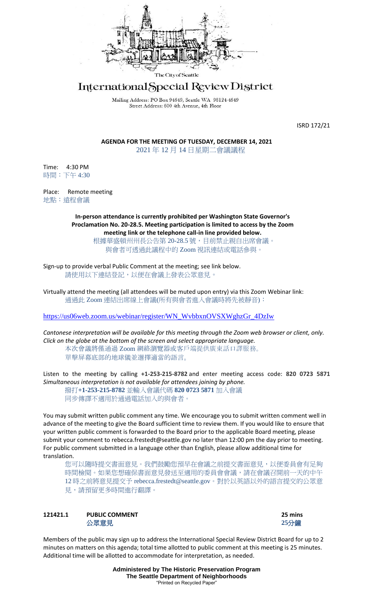

# International Special Review District

Mailing Address: PO Box 94649, Seattle WA 98124-4649 Street Address: 600 4th Avenue, 4th Floor

ISRD 172/21

**AGENDA FOR THE MEETING OF TUESDAY, DECEMBER 14, 2021** 2021 年 12 月 14 日星期二會議議程

Time: 4:30 PM 時間:下午 4:30

Place: Remote meeting 地點:遠程會議

> **In-person attendance is currently prohibited per Washington State Governor's Proclamation No. 20-28.5. Meeting participation is limited to access by the Zoom meeting link or the telephone call-in line provided below.**

根據華盛頓州州長公告第 20-28.5 號, 目前禁止親自出席會議。 與會者可透過此議程中的 Zoom 視訊連結或電話參與。

Sign-up to provide verbal Public Comment at the meeting; see link below. 請使用以下連結登記,以便在會議上發表公眾意見。

Virtually attend the meeting (all attendees will be muted upon entry) via this Zoom Webinar link: 通過此 Zoom 連結出席線上會議(所有與會者進入會議時將先被靜音):

[https://us06web.zoom.us/webinar/register/WN\\_WvbbxnOVSXWghzGr\\_4DzIw](https://us06web.zoom.us/webinar/register/WN_WvbbxnOVSXWghzGr_4DzIw)

*Cantonese interpretation will be available for this meeting through the Zoom web browser or client, only. Click on the globe at the bottom of the screen and select appropriate language.* 本次會議將僅通過 Zoom 網絡瀏覽器或客戶端提供廣東話口譯服務。

單擊屏幕底部的地球儀並選擇適當的語言。

Listen to the meeting by calling **+1-253-215-8782** and enter meeting access code: **820 0723 5871** *Simultaneous interpretation is not available for attendees joining by phone.*

撥打**+1-253-215-8782** 並輸入會議代碼 **820 0723 5871** 加入會議 同步傳譯不適用於通過電話加入的與會者。

You may submit written public comment any time. We encourage you to submit written comment well in advance of the meeting to give the Board sufficient time to review them. If you would like to ensure that your written public comment is forwarded to the Board prior to the applicable Board meeting, please submit your comment to rebecca.frestedt@seattle.gov no later than 12:00 pm the day prior to meeting. For public comment submitted in a language other than English, please allow additional time for translation.

您可以隨時提交書面意見。我們鼓勵您預早在會議之前提交書面意見,以便委員會有足夠 時間檢閱。如果您想確保書面意見發送至適用的委員會會議,請在會議召開前一天的中午 12 時之前將意見提交予 rebecca.frestedt@seattle.gov。對於以英語以外的語言提交的公眾意 見,請預留更多時間進行翻譯。

# **121421.1 PUBLIC COMMENT 25 mins** 公眾意見 **25**分鐘



Members of the public may sign up to address the International Special Review District Board for up to 2 minutes on matters on this agenda; total time allotted to public comment at this meeting is 25 minutes. Additional time will be allotted to accommodate for interpretation, as needed.

> **Administered by The Historic Preservation Program The Seattle Department of Neighborhoods** "Printed on Recycled Paper"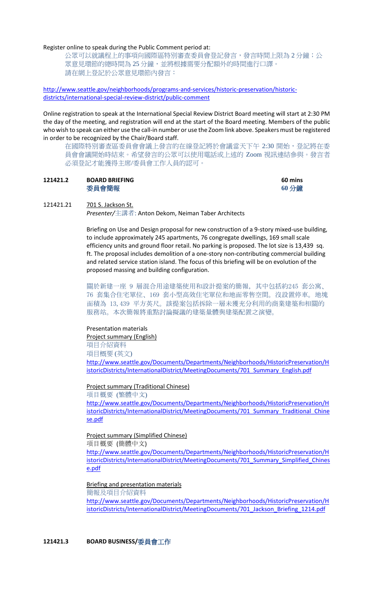#### Register online to speak during the Public Comment period at:

公眾可以就議程上的事項向國際區特別審查委員會登記發言,發言時間上限為 2 分鐘;公 眾意見環節的總時間為 25 分鐘,並將根據需要分配額外的時間進行口譯。 請在網上登記於公眾意見環節內發言:

[http://www.seattle.gov/neighborhoods/programs-and-services/historic-preservation/historic](http://www.seattle.gov/neighborhoods/programs-and-services/historic-preservation/historic-districts/international-special-review-district/public-comment)[districts/international-special-review-district/public-comment](http://www.seattle.gov/neighborhoods/programs-and-services/historic-preservation/historic-districts/international-special-review-district/public-comment)

Online registration to speak at the International Special Review District Board meeting will start at 2:30 PM the day of the meeting, and registration will end at the start of the Board meeting. Members of the public who wish to speak can either use the call-in number or use the Zoom link above. Speakers must be registered in order to be recognized by the Chair/Board staff.

在國際特別審查區委員會會議上發言的在線登記將於會議當天下午 2:30 開始,登記將在委 員會會議開始時結束。希望發言的公眾可以使用電話或上述的 Zoom 視訊連結參與。發言者 必須登記才能獲得主席/委員會工作人員的認可。

## **121421.2 BOARD BRIEFING 60 mins** 委員會簡報 **60** 分鐘

## 121421.21 701 S. Jackson St.

*Presenter/*主講者: Anton Dekom, Neiman Taber Architects

Briefing on Use and Design proposal for new construction of a 9-story mixed-use building, to include approximately 245 apartments, 76 congregate dwellings, 169 small scale efficiency units and ground floor retail. No parking is proposed. The lot size is 13,439 sq. ft. The proposal includes demolition of a one-story non-contributing commercial building and related service station island. The focus of this briefing will be on evolution of the proposed massing and building configuration.

關於新建一座 9 層混合用途建築使用和設計提案的簡報,其中包括約245 套公寓、 76 套集合住宅單位、169 套小型高效住宅單位和地面零售空間。沒設置停車。地塊 面積為 13,439 平方英尺。該提案包括拆除一層未獲充分利用的商業建築和相關的 服務站。本次簡報將重點討論擬議的建築量體與建築配置之演變。

#### Presentation materials

Project summary (English)

項目介紹資料 項目概要 (英文)

[http://www.seattle.gov/Documents/Departments/Neighborhoods/HistoricPreservation/H](http://www.seattle.gov/Documents/Departments/Neighborhoods/HistoricPreservation/HistoricDistricts/InternationalDistrict/MeetingDocuments/701_Summary_English.pdf) [istoricDistricts/InternationalDistrict/MeetingDocuments/701\\_Summary\\_English.pdf](http://www.seattle.gov/Documents/Departments/Neighborhoods/HistoricPreservation/HistoricDistricts/InternationalDistrict/MeetingDocuments/701_Summary_English.pdf)

### Project summary (Traditional Chinese)

項目概要 (繁體中文) [http://www.seattle.gov/Documents/Departments/Neighborhoods/HistoricPreservation/H](http://www.seattle.gov/Documents/Departments/Neighborhoods/HistoricPreservation/HistoricDistricts/InternationalDistrict/MeetingDocuments/701_Summary_Traditional_Chinese.pdf) [istoricDistricts/InternationalDistrict/MeetingDocuments/701\\_Summary\\_Traditional\\_Chine](http://www.seattle.gov/Documents/Departments/Neighborhoods/HistoricPreservation/HistoricDistricts/InternationalDistrict/MeetingDocuments/701_Summary_Traditional_Chinese.pdf) [se.pdf](http://www.seattle.gov/Documents/Departments/Neighborhoods/HistoricPreservation/HistoricDistricts/InternationalDistrict/MeetingDocuments/701_Summary_Traditional_Chinese.pdf)

## Project summary (Simplified Chinese) 項目概要 (簡體中文)

[http://www.seattle.gov/Documents/Departments/Neighborhoods/HistoricPreservation/H](http://www.seattle.gov/Documents/Departments/Neighborhoods/HistoricPreservation/HistoricDistricts/InternationalDistrict/MeetingDocuments/701_Summary_Simplified_Chinese.pdf) [istoricDistricts/InternationalDistrict/MeetingDocuments/701\\_Summary\\_Simplified\\_Chines](http://www.seattle.gov/Documents/Departments/Neighborhoods/HistoricPreservation/HistoricDistricts/InternationalDistrict/MeetingDocuments/701_Summary_Simplified_Chinese.pdf) [e.pdf](http://www.seattle.gov/Documents/Departments/Neighborhoods/HistoricPreservation/HistoricDistricts/InternationalDistrict/MeetingDocuments/701_Summary_Simplified_Chinese.pdf)

#### Briefing and presentation materials

簡報及項目介紹資料

[http://www.seattle.gov/Documents/Departments/Neighborhoods/HistoricPreservation/H](http://www.seattle.gov/Documents/Departments/Neighborhoods/HistoricPreservation/HistoricDistricts/InternationalDistrict/MeetingDocuments/701_Jackson_Briefing_1214.pdf) [istoricDistricts/InternationalDistrict/MeetingDocuments/701\\_Jackson\\_Briefing\\_1214.pdf](http://www.seattle.gov/Documents/Departments/Neighborhoods/HistoricPreservation/HistoricDistricts/InternationalDistrict/MeetingDocuments/701_Jackson_Briefing_1214.pdf)

**121421.3 BOARD BUSINESS/**委員會工作